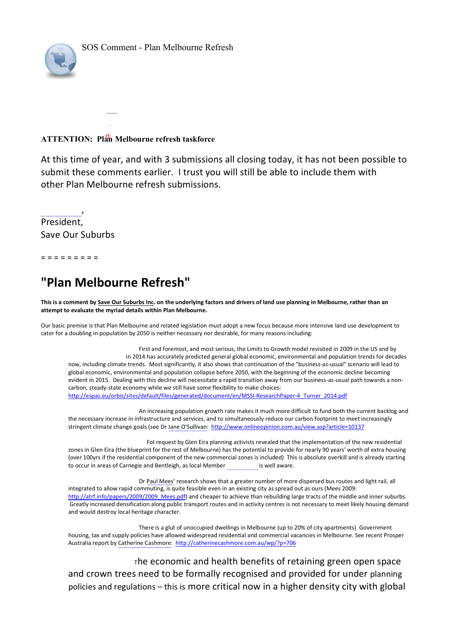

## **ATTENTION: Plan Melbourne refresh taskforce** d

At this time of year, and with 3 submissions all closing today, it has not been possible to submit these comments earlier. I trust you will still be able to include them with other Plan Melbourne refresh submissions.

President, Save Our Suburbs

,

= = = = = = = = =

## **"Plan Melbourne Refresh"**

and would destroy local heritage character.

**This is a comment by Save Our Suburbs Inc. on the underlying factors and drivers of land use planning in Melbourne, rather than an attempt to evaluate the myriad details within Plan Melbourne.**

Our basic premise is that Plan Melbourne and related legislation must adopt a new focus because more intensive land use development to cater for a doubling in population by 2050 is neither necessary nor desirable, for many reasons including:

First and foremost, and most serious, the Limits to Growth model revisited in 2009 in the US and by in 2014 has accurately predicted general global economic, environmental and population trends for decades now, including climate trends. Most significantly, it also shows that continuation of the "business-as-usual" scenario will lead to global economic, environmental and population collapse before 2050, with the beginning of the economic decline becoming evident in 2015. Dealing with this decline will necessitate a rapid transition away from our business-as-usual path towards a noncarbon, steadystate economy while we still have some flexibility to make choices: http://espas.eu/orbis/sites/default/files/generated/document/en/MSSI-ResearchPaper-4\_Turner\_2014.pdf

An increasing population growth rate makes it much more difficult to fund both the current backlog and the necessary increase in infrastructure and services, and to simultaneously reduce our carbon footprint to meet increasingly stringent climate change goals (see Dr Jane O'Sullivan: http://www.onlineopinion.com.au/view.asp?article=10137

 FoI request by Glen Eira planning activists revealed that the implementation of the new residential zones in Glen Eira (the blueprint for the rest of Melbourne) has the potential to provide for nearly 90 years' worth of extra housing (over 100yrs if the residential component of the new commercial zones is included) This is absolute overkill and is already starting to occur in areas of Carnegie and Bentleigh, as local Member is well aware.

Dr Paul Mees' research shows that a greater number of more dispersed bus routes and light rail, all integrated to allow rapid commuting, is quite feasible even in an existing city as spread out as ours (Mees 2009: http://atrf.info/papers/2009/2009\_Mees.pdf) and cheaper to achieve than rebuilding large tracts of the middle and inner suburbs. Greatly increased densification along public transport routes and in activity centres is not necessary to meet likely housing demand

There is a glut of unoccupied dwellings in Melbourne (up to 20% of city apartments). Government housing, tax and supply policies have allowed widespread residential and commercial vacancies in Melbourne. See recent Prosper Australia report by Catherine Cashmore: http://catherinecashmore.com.au/wp/?p=706

 $\tau$ he economic and health benefits of retaining green open space and crown trees need to be formally recognised and provided for under planning policies and regulations – this is more critical now in a higher density city with global